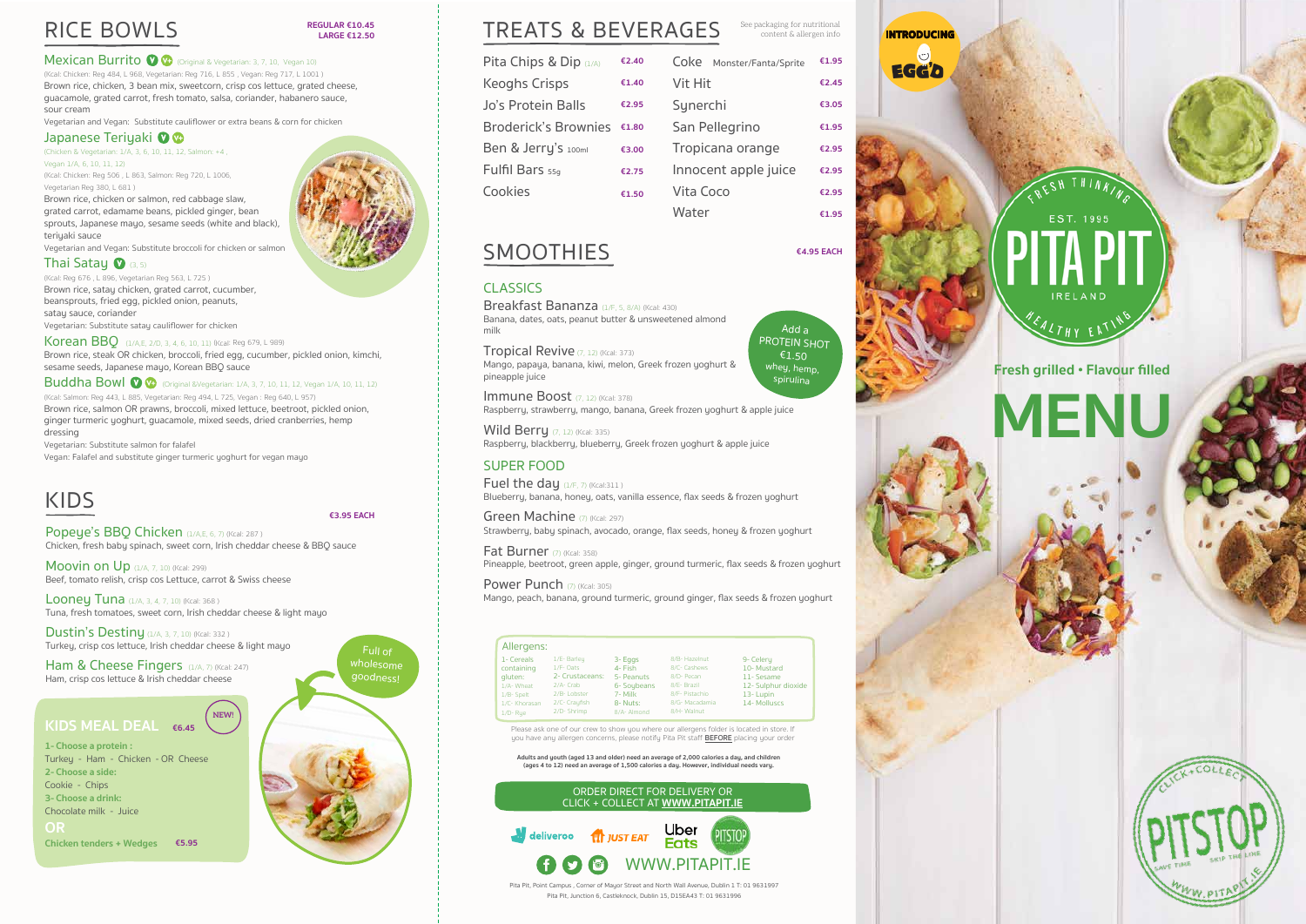Pita Pit, Point Campus , Corner of Mayor Street and North Wall Avenue, Dublin 1 T: 01 9631997 Pita Pit, Junction 6, Castleknock, Dublin 15, D15EA43 T: 01 9631996

**Adults and youth (aged 13 and older) need an average of 2,000 calories a day, and children (ages 4 to 12) need an average of 1,500 calories a day. However, individual needs vary.**



content & allergen info

Breakfast Bananza (1/F. 5, 8/A) (Kcal: 430) Banana, dates, oats, peanut butter & unsweetened almond milk

Tropical Revive (7, 12) (Kcal: 373) Mango, papaya, banana, kiwi, melon, Greek frozen yoghurt & pineapple juice

Immune Boost (7, 12) (Kcal: 378) Raspberry, strawberry, mango, banana, Greek frozen yoghurt & apple juice

| Allergens:                                                                                   |                                                                                                        |                                                                                       |                                                                                                               |                                                                                         |
|----------------------------------------------------------------------------------------------|--------------------------------------------------------------------------------------------------------|---------------------------------------------------------------------------------------|---------------------------------------------------------------------------------------------------------------|-----------------------------------------------------------------------------------------|
| 1- Cereals<br>containing<br>gluten:<br>1/A-Wheat<br>1/B-Spelt<br>1/C-Khorasan<br>$1/D$ - Rue | 1/E- Barley<br>1/F- Oats<br>2- Crustaceans:<br>2/A- Crab<br>2/B-Lobster<br>2/C- Crayfish<br>2/D-Shrimp | 3- Eggs<br>4- Fish<br>5- Peanuts<br>6- Soybeans<br>7- Milk<br>8- Nuts:<br>8/A- Almond | 8/B- Hazelnut<br>8/C- Cashews<br>8/D- Pecan<br>8/E- Brazil<br>8/F- Pistachio<br>8/G- Macadamia<br>8/H- Walnut | 9- Celery<br>10-Mustard<br>11- Sesame<br>12- Sulphur dioxide<br>13-Lupin<br>14-Molluscs |

Please ask one of our crew to show you where our allergens folder is located in store. If you have any allergen concerns, please notify Pita Pit staff **BEFORE** placing your order

**Wild Berry**  $(7, 12)$  (Kcal: 335) Raspberry, blackberry, blueberry, Greek frozen yoghurt & apple juice

(Kcal: Chicken: Reg 484, L 968, Vegetarian: Reg 716, L 855, Vegan: Reg 717, L 1001) Brown rice, chicken, 3 bean mix, sweetcorn, crisp cos lettuce, grated cheese, guacamole, grated carrot, fresh tomato, salsa, coriander, habanero sauce, sour cream

Vegetarian and Vegan: Substitute cauliflower or extra beans & corn for chicken

#### Japanese Teriyaki <sup>0</sup>

(Chicken & Vegetarian: 1/A, 3, 6, 10, 11, 12, Salmon: +4,

### CLASSICS

Vegan 1/A, 6, 10, 11, 12) (Kcal: Chicken: Reg 506, L 863, Salmon: Reg 720, L 1006, Vegetarian Reg 380, L 681) Brown rice, chicken or salmon, red cabbage slaw,

grated carrot, edamame beans, pickled ginger, bean sprouts, Japanese mayo, sesame seeds (white and black), teriuaki sauce

Vegetarian and Vegan: Substitute broccoli for chicken or salmon

#### Thai Satay **O**  $(3, 5)$

(Kcal: Reg 676, L 896, Vegetarian Reg 563, L 725) Brown rice, satay chicken, grated carrot, cucumber, beansprouts, fried egg, pickled onion, peanuts, satay sauce, coriander

Vegetarian: Substitute satay cauliflower for chicken

### SUPER FOOD

Fuel the day  $(1/F, 7)$  (Kcal:311) Blueberry, banana, honey, oats, vanilla essence, flax seeds & frozen yoghurt

Green Machine (7) (Kcal: 297) Strawberru, babu spinach, avocado, orange, flax seeds, honey & frozen yoghurt

Fat Burner  $(7)$  (Kcal: 358) Pineapple, beetroot, green apple, ginger, ground turmeric, flax seeds & frozen yoghurt

Power Punch  $(7)$  (Kcal: 305) Mango, peach, banana, ground turmeric, ground ginger, flax seeds & frozen yoghurt

Korean BBO (1/A,E, 2/D, 3, 4, 6, 10, 11) (Kcal: Reg 679, L 989) Brown rice, steak OR chicken, broccoli, fried egg, cucumber, pickled onion, kimchi, sesame seeds, Japanese mayo, Korean BBQ sauce

**Buddha Bowl**  $\bullet$   $\bullet$  (Original &Vegetarian: 1/A, 3, 7, 10, 11, 12, Vegan 1/A, 10, 11, 12) (Kcal: Salmon: Reg 443, L 885, Vegetarian: Reg 494, L 725, Vegan: Reg 640, L 957) Brown rice, salmon OR prawns, broccoli, mixed lettuce, beetroot, pickled onion, ginger turmeric yoghurt, guacamole, mixed seeds, dried cranberries, hemp dressing

Vegetarian: Substitute salmon for falafel

Vegan: Falafel and substitute ginger turmeric yoghurt for vegan mayo



## SMOOTHIES **€4.95 EACH**

#### **REGULAR €10.45 LARGE €12.50**

**Mexican Burrito**  $\bullet$   $\bullet$  (Original & Vegetarian: 3, 7, 10, Vegan 10)

Popeye's BBQ Chicken (1/A,E, 6, 7) (Kcal: 287) Chicken, fresh baby spinach, sweet corn, Irish cheddar cheese & BBQ sauce

**Moovin on Up**  $(1/A, 7, 10)$  (Kcal: 299) Beef, tomato relish, crisp cos Lettuce, carrot & Swiss cheese

| Pita Chips & Dip (1/A)      | €2.40 | Coke<br>Monster/Fanta/Sprite | €1.95 |
|-----------------------------|-------|------------------------------|-------|
| <b>Keoghs Crisps</b>        | €1.40 | Vit Hit                      | €2.45 |
| Jo's Protein Balls          | €2.95 | Synerchi                     | €3.05 |
| <b>Broderick's Brownies</b> | €1.80 | San Pellegrino               | €1.95 |
| Ben & Jerry's 100ml         | €3.00 | Tropicana orange             | €2.95 |
| Fulfil Bars 55g             | €2.75 | Innocent apple juice         | €2.95 |
| Cookies                     | €1.50 | Vita Coco                    | €2.95 |
|                             |       | Water                        | €1.95 |

**Looney Tuna**  $(1/A, 3, 4, 7, 10)$  (Kcal: 368) Tuna, fresh tomatoes, sweet corn, Irish cheddar cheese & light mayo

**Dustin's Destiny**  $(1/A, 3, 7, 10)$  (Kcal: 332) Turkey, crisp cos lettuce, Irish cheddar cheese & light mayo

Ham & Cheese Fingers (1/A, 7) (Kcal: 247) Ham, crisp cos lettuce & Irish cheddar cheese

## RICE BOWLS



Add a PROTEIN SHOT €1.50 whey, hemp, spirulina



## KIDS

**€3.95 EACH**



### **KIDS MEAL DEAL €6.45**

**1- Choose a protein :** Turkey - Ham - Chicken - OR Cheese **2- Choose a side:**  Cookie - Chips **3- Choose a drink:** Chocolate milk - Juice **OR Chicken tenders + Wedges €5.95**

**NEW!**

**MENU**



**INTRODUCING**

 $\circ$ **EGG'D** 



#### **Fresh grilled • Flavour filled**